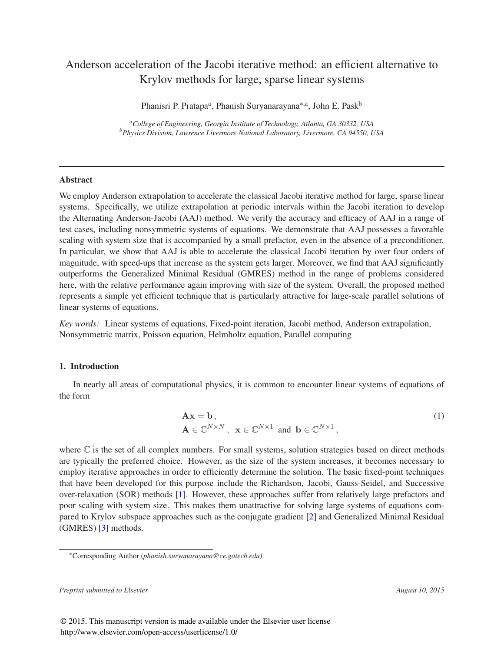# Anderson acceleration of the Jacobi iterative method: an efficient alternative to Krylov methods for large, sparse linear systems

Phanisri P. Pratapa<sup>a</sup>, Phanish Suryanarayana<sup>∗,a</sup>, John E. Pask<sup>b</sup>

*<sup>a</sup>College of Engineering, Georgia Institute of Technology, Atlanta, GA 30332, USA <sup>b</sup>Physics Division, Lawrence Livermore National Laboratory, Livermore, CA 94550, USA*

## Abstract

We employ Anderson extrapolation to accelerate the classical Jacobi iterative method for large, sparse linear systems. Specifically, we utilize extrapolation at periodic intervals within the Jacobi iteration to develop the Alternating Anderson-Jacobi (AAJ) method. We verify the accuracy and efficacy of AAJ in a range of test cases, including nonsymmetric systems of equations. We demonstrate that AAJ possesses a favorable scaling with system size that is accompanied by a small prefactor, even in the absence of a preconditioner. In particular, we show that AAJ is able to accelerate the classical Jacobi iteration by over four orders of magnitude, with speed-ups that increase as the system gets larger. Moreover, we find that AAJ significantly outperforms the Generalized Minimal Residual (GMRES) method in the range of problems considered here, with the relative performance again improving with size of the system. Overall, the proposed method represents a simple yet efficient technique that is particularly attractive for large-scale parallel solutions of linear systems of equations.

*Key words:* Linear systems of equations, Fixed-point iteration, Jacobi method, Anderson extrapolation, Nonsymmetric matrix, Poisson equation, Helmholtz equation, Parallel computing

# 1. Introduction

In nearly all areas of computational physics, it is common to encounter linear systems of equations of the form

$$
\mathbf{A}\mathbf{x} = \mathbf{b},
$$
  
\n
$$
\mathbf{A} \in \mathbb{C}^{N \times N}, \ \mathbf{x} \in \mathbb{C}^{N \times 1} \text{ and } \mathbf{b} \in \mathbb{C}^{N \times 1},
$$
\n(1)

where  $\mathbb C$  is the set of all complex numbers. For small systems, solution strategies based on direct methods are typically the preferred choice. However, as the size of the system increases, it becomes necessary to employ iterative approaches in order to efficiently determine the solution. The basic fixed-point techniques that have been developed for this purpose include the Richardson, Jacobi, Gauss-Seidel, and Successive over-relaxation (SOR) methods [1]. However, these approaches suffer from relatively large prefactors and poor scaling with system size. This makes them unattractive for solving large systems of equations compared to Krylov subspace approaches such as the conjugate gradient [2] and Generalized Minimal Residual (GMRES) [3] methods.

*Preprint submitted to Elsevier August 10, 2015*

<sup>∗</sup>Corresponding Author (*phanish.suryanarayana@ce.gatech.edu)*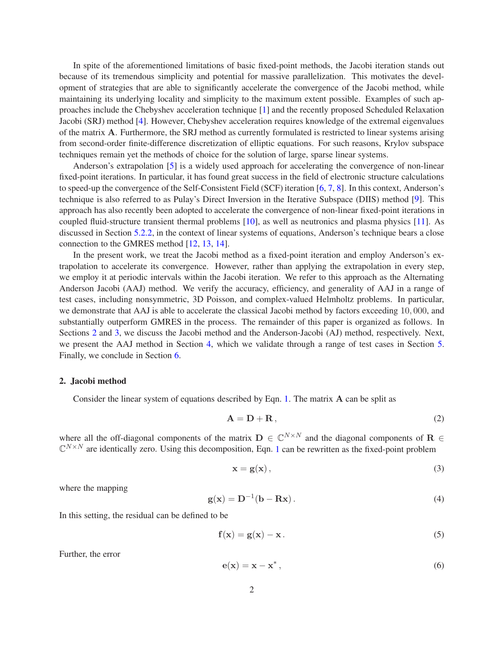In spite of the aforementioned limitations of basic fixed-point methods, the Jacobi iteration stands out because of its tremendous simplicity and potential for massive parallelization. This motivates the development of strategies that are able to significantly accelerate the convergence of the Jacobi method, while maintaining its underlying locality and simplicity to the maximum extent possible. Examples of such approaches include the Chebyshev acceleration technique [1] and the recently proposed Scheduled Relaxation Jacobi (SRJ) method [4]. However, Chebyshev acceleration requires knowledge of the extremal eigenvalues of the matrix A. Furthermore, the SRJ method as currently formulated is restricted to linear systems arising from second-order finite-difference discretization of elliptic equations. For such reasons, Krylov subspace techniques remain yet the methods of choice for the solution of large, sparse linear systems.

Anderson's extrapolation [5] is a widely used approach for accelerating the convergence of non-linear fixed-point iterations. In particular, it has found great success in the field of electronic structure calculations to speed-up the convergence of the Self-Consistent Field (SCF) iteration [6, 7, 8]. In this context, Anderson's technique is also referred to as Pulay's Direct Inversion in the Iterative Subspace (DIIS) method [9]. This approach has also recently been adopted to accelerate the convergence of non-linear fixed-point iterations in coupled fluid-structure transient thermal problems [10], as well as neutronics and plasma physics [11]. As discussed in Section 5.2.2, in the context of linear systems of equations, Anderson's technique bears a close connection to the GMRES method [12, 13, 14].

In the present work, we treat the Jacobi method as a fixed-point iteration and employ Anderson's extrapolation to accelerate its convergence. However, rather than applying the extrapolation in every step, we employ it at periodic intervals within the Jacobi iteration. We refer to this approach as the Alternating Anderson Jacobi (AAJ) method. We verify the accuracy, efficiency, and generality of AAJ in a range of test cases, including nonsymmetric, 3D Poisson, and complex-valued Helmholtz problems. In particular, we demonstrate that AAJ is able to accelerate the classical Jacobi method by factors exceeding 10, 000, and substantially outperform GMRES in the process. The remainder of this paper is organized as follows. In Sections 2 and 3, we discuss the Jacobi method and the Anderson-Jacobi (AJ) method, respectively. Next, we present the AAJ method in Section 4, which we validate through a range of test cases in Section 5. Finally, we conclude in Section 6.

## 2. Jacobi method

Consider the linear system of equations described by Eqn. 1. The matrix A can be split as

$$
\mathbf{A} = \mathbf{D} + \mathbf{R},\tag{2}
$$

where all the off-diagonal components of the matrix  $\mathbf{D} \in \mathbb{C}^{N \times N}$  and the diagonal components of  $\mathbf{R} \in$  $\mathbb{C}^{N\times N}$  are identically zero. Using this decomposition, Eqn. 1 can be rewritten as the fixed-point problem

$$
\mathbf{x} = \mathbf{g}(\mathbf{x}),\tag{3}
$$

where the mapping

$$
\mathbf{g}(\mathbf{x}) = \mathbf{D}^{-1}(\mathbf{b} - \mathbf{R}\mathbf{x}). \tag{4}
$$

In this setting, the residual can be defined to be

$$
\mathbf{f}(\mathbf{x}) = \mathbf{g}(\mathbf{x}) - \mathbf{x} \,. \tag{5}
$$

Further, the error

$$
\mathbf{e}(\mathbf{x}) = \mathbf{x} - \mathbf{x}^*,\tag{6}
$$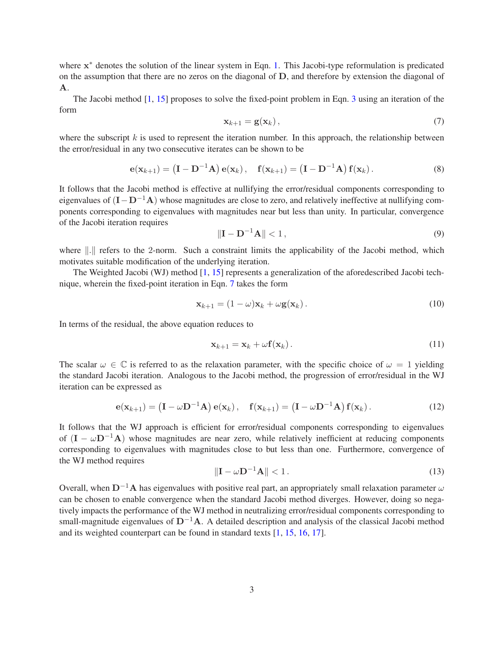where  $x^*$  denotes the solution of the linear system in Eqn. 1. This Jacobi-type reformulation is predicated on the assumption that there are no zeros on the diagonal of D, and therefore by extension the diagonal of A.

The Jacobi method [1, 15] proposes to solve the fixed-point problem in Eqn. 3 using an iteration of the form

$$
\mathbf{x}_{k+1} = \mathbf{g}(\mathbf{x}_k),\tag{7}
$$

where the subscript  $k$  is used to represent the iteration number. In this approach, the relationship between the error/residual in any two consecutive iterates can be shown to be

$$
\mathbf{e}(\mathbf{x}_{k+1}) = (\mathbf{I} - \mathbf{D}^{-1}\mathbf{A})\mathbf{e}(\mathbf{x}_k), \quad \mathbf{f}(\mathbf{x}_{k+1}) = (\mathbf{I} - \mathbf{D}^{-1}\mathbf{A})\mathbf{f}(\mathbf{x}_k).
$$
 (8)

It follows that the Jacobi method is effective at nullifying the error/residual components corresponding to eigenvalues of  $(I - D^{-1}A)$  whose magnitudes are close to zero, and relatively ineffective at nullifying components corresponding to eigenvalues with magnitudes near but less than unity. In particular, convergence of the Jacobi iteration requires

$$
\|\mathbf{I} - \mathbf{D}^{-1}\mathbf{A}\| < 1,\tag{9}
$$

where ||.|| refers to the 2-norm. Such a constraint limits the applicability of the Jacobi method, which motivates suitable modification of the underlying iteration.

The Weighted Jacobi (WJ) method [1, 15] represents a generalization of the aforedescribed Jacobi technique, wherein the fixed-point iteration in Eqn. 7 takes the form

$$
\mathbf{x}_{k+1} = (1 - \omega)\mathbf{x}_k + \omega \mathbf{g}(\mathbf{x}_k). \tag{10}
$$

In terms of the residual, the above equation reduces to

$$
\mathbf{x}_{k+1} = \mathbf{x}_k + \omega \mathbf{f}(\mathbf{x}_k). \tag{11}
$$

The scalar  $\omega \in \mathbb{C}$  is referred to as the relaxation parameter, with the specific choice of  $\omega = 1$  yielding the standard Jacobi iteration. Analogous to the Jacobi method, the progression of error/residual in the WJ iteration can be expressed as

$$
\mathbf{e}(\mathbf{x}_{k+1}) = \left(\mathbf{I} - \omega \mathbf{D}^{-1} \mathbf{A}\right) \mathbf{e}(\mathbf{x}_k), \quad \mathbf{f}(\mathbf{x}_{k+1}) = \left(\mathbf{I} - \omega \mathbf{D}^{-1} \mathbf{A}\right) \mathbf{f}(\mathbf{x}_k).
$$
 (12)

It follows that the WJ approach is efficient for error/residual components corresponding to eigenvalues of  $(I - \omega D^{-1}A)$  whose magnitudes are near zero, while relatively inefficient at reducing components corresponding to eigenvalues with magnitudes close to but less than one. Furthermore, convergence of the WJ method requires

$$
\|\mathbf{I} - \omega \mathbf{D}^{-1} \mathbf{A}\| < 1. \tag{13}
$$

Overall, when  $D^{-1}A$  has eigenvalues with positive real part, an appropriately small relaxation parameter  $\omega$ can be chosen to enable convergence when the standard Jacobi method diverges. However, doing so negatively impacts the performance of the WJ method in neutralizing error/residual components corresponding to small-magnitude eigenvalues of  $D^{-1}A$ . A detailed description and analysis of the classical Jacobi method and its weighted counterpart can be found in standard texts [1, 15, 16, 17].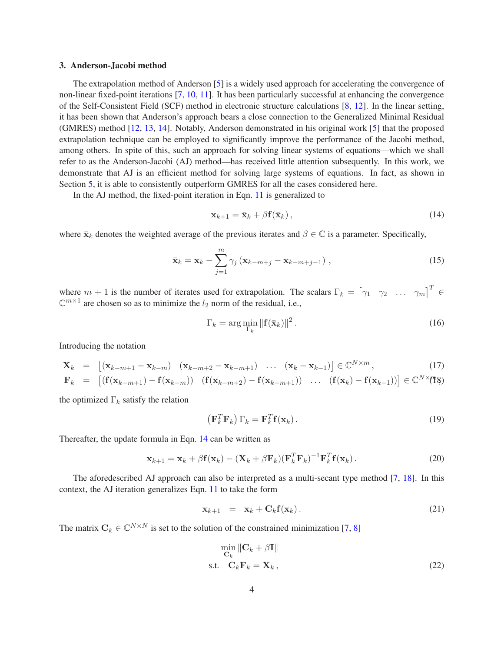#### 3. Anderson-Jacobi method

The extrapolation method of Anderson [5] is a widely used approach for accelerating the convergence of non-linear fixed-point iterations [7, 10, 11]. It has been particularly successful at enhancing the convergence of the Self-Consistent Field (SCF) method in electronic structure calculations [8, 12]. In the linear setting, it has been shown that Anderson's approach bears a close connection to the Generalized Minimal Residual (GMRES) method [12, 13, 14]. Notably, Anderson demonstrated in his original work [5] that the proposed extrapolation technique can be employed to significantly improve the performance of the Jacobi method, among others. In spite of this, such an approach for solving linear systems of equations—which we shall refer to as the Anderson-Jacobi (AJ) method—has received little attention subsequently. In this work, we demonstrate that AJ is an efficient method for solving large systems of equations. In fact, as shown in Section 5, it is able to consistently outperform GMRES for all the cases considered here.

In the AJ method, the fixed-point iteration in Eqn. 11 is generalized to

$$
\mathbf{x}_{k+1} = \bar{\mathbf{x}}_k + \beta \mathbf{f}(\bar{\mathbf{x}}_k), \tag{14}
$$

where  $\bar{\mathbf{x}}_k$  denotes the weighted average of the previous iterates and  $\beta \in \mathbb{C}$  is a parameter. Specifically,

$$
\bar{\mathbf{x}}_k = \mathbf{x}_k - \sum_{j=1}^m \gamma_j \left( \mathbf{x}_{k-m+j} - \mathbf{x}_{k-m+j-1} \right), \qquad (15)
$$

where  $m + 1$  is the number of iterates used for extrapolation. The scalars  $\Gamma_k = \begin{bmatrix} \gamma_1 & \gamma_2 & \dots & \gamma_m \end{bmatrix}^T \in$  $\mathbb{C}^{m \times 1}$  are chosen so as to minimize the  $l_2$  norm of the residual, i.e.,

$$
\Gamma_k = \arg\min_{\Gamma_k} \|\mathbf{f}(\bar{\mathbf{x}}_k)\|^2. \tag{16}
$$

Introducing the notation

$$
\mathbf{X}_k = \left[ (\mathbf{x}_{k-m+1} - \mathbf{x}_{k-m}) \quad (\mathbf{x}_{k-m+2} - \mathbf{x}_{k-m+1}) \quad \dots \quad (\mathbf{x}_k - \mathbf{x}_{k-1}) \right] \in \mathbb{C}^{N \times m}, \tag{17}
$$

$$
\mathbf{F}_k = \left[ \left( \mathbf{f}(\mathbf{x}_{k-m+1}) - \mathbf{f}(\mathbf{x}_{k-m}) \right) \left( \mathbf{f}(\mathbf{x}_{k-m+2}) - \mathbf{f}(\mathbf{x}_{k-m+1}) \right) \dots \left( \mathbf{f}(\mathbf{x}_k) - \mathbf{f}(\mathbf{x}_{k-1}) \right) \right] \in \mathbb{C}^{N \times (n \cdot k)}
$$

the optimized  $\Gamma_k$  satisfy the relation

$$
\left(\mathbf{F}_k^T \mathbf{F}_k\right) \Gamma_k = \mathbf{F}_k^T \mathbf{f}(\mathbf{x}_k). \tag{19}
$$

Thereafter, the update formula in Eqn. 14 can be written as

$$
\mathbf{x}_{k+1} = \mathbf{x}_k + \beta \mathbf{f}(\mathbf{x}_k) - (\mathbf{X}_k + \beta \mathbf{F}_k)(\mathbf{F}_k^T \mathbf{F}_k)^{-1} \mathbf{F}_k^T \mathbf{f}(\mathbf{x}_k).
$$
 (20)

The aforedescribed AJ approach can also be interpreted as a multi-secant type method [7, 18]. In this context, the AJ iteration generalizes Eqn. 11 to take the form

$$
\mathbf{x}_{k+1} = \mathbf{x}_k + \mathbf{C}_k \mathbf{f}(\mathbf{x}_k). \tag{21}
$$

The matrix  $C_k \in \mathbb{C}^{N \times N}$  is set to the solution of the constrained minimization [7, 8]

$$
\min_{\mathbf{C}_k} \|\mathbf{C}_k + \beta \mathbf{I}\|
$$
  
s.t. 
$$
\mathbf{C}_k \mathbf{F}_k = \mathbf{X}_k,
$$
 (22)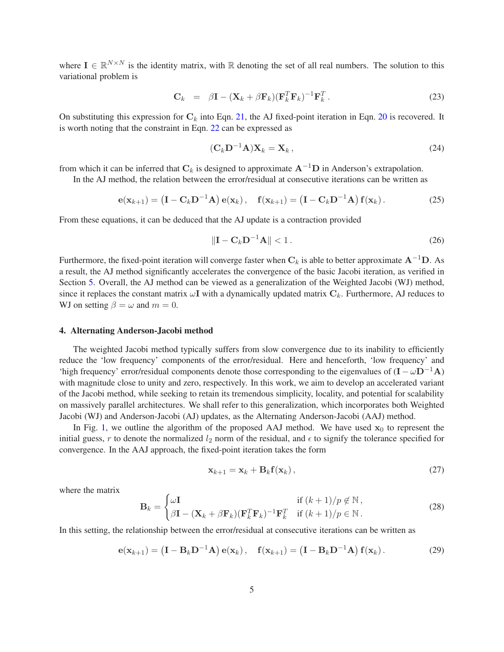where  $I \in \mathbb{R}^{N \times N}$  is the identity matrix, with  $\mathbb R$  denoting the set of all real numbers. The solution to this variational problem is

$$
\mathbf{C}_k = \beta \mathbf{I} - (\mathbf{X}_k + \beta \mathbf{F}_k)(\mathbf{F}_k^T \mathbf{F}_k)^{-1} \mathbf{F}_k^T.
$$
 (23)

On substituting this expression for  $C_k$  into Eqn. 21, the AJ fixed-point iteration in Eqn. 20 is recovered. It is worth noting that the constraint in Eqn. 22 can be expressed as

$$
(\mathbf{C}_k \mathbf{D}^{-1} \mathbf{A}) \mathbf{X}_k = \mathbf{X}_k, \qquad (24)
$$

from which it can be inferred that  $C_k$  is designed to approximate  $A^{-1}D$  in Anderson's extrapolation.

In the AJ method, the relation between the error/residual at consecutive iterations can be written as

$$
\mathbf{e}(\mathbf{x}_{k+1}) = \left(\mathbf{I} - \mathbf{C}_k \mathbf{D}^{-1} \mathbf{A}\right) \mathbf{e}(\mathbf{x}_k), \quad \mathbf{f}(\mathbf{x}_{k+1}) = \left(\mathbf{I} - \mathbf{C}_k \mathbf{D}^{-1} \mathbf{A}\right) \mathbf{f}(\mathbf{x}_k).
$$
 (25)

From these equations, it can be deduced that the AJ update is a contraction provided

$$
\|\mathbf{I} - \mathbf{C}_k \mathbf{D}^{-1} \mathbf{A}\| < 1. \tag{26}
$$

Furthermore, the fixed-point iteration will converge faster when  $C_k$  is able to better approximate  $A^{-1}D$ . As a result, the AJ method significantly accelerates the convergence of the basic Jacobi iteration, as verified in Section 5. Overall, the AJ method can be viewed as a generalization of the Weighted Jacobi (WJ) method, since it replaces the constant matrix  $\omega I$  with a dynamically updated matrix  $C_k$ . Furthermore, AJ reduces to WJ on setting  $\beta = \omega$  and  $m = 0$ .

## 4. Alternating Anderson-Jacobi method

The weighted Jacobi method typically suffers from slow convergence due to its inability to efficiently reduce the 'low frequency' components of the error/residual. Here and henceforth, 'low frequency' and 'high frequency' error/residual components denote those corresponding to the eigenvalues of  $(I - \omega D^{-1}A)$ with magnitude close to unity and zero, respectively. In this work, we aim to develop an accelerated variant of the Jacobi method, while seeking to retain its tremendous simplicity, locality, and potential for scalability on massively parallel architectures. We shall refer to this generalization, which incorporates both Weighted Jacobi (WJ) and Anderson-Jacobi (AJ) updates, as the Alternating Anderson-Jacobi (AAJ) method.

In Fig. 1, we outline the algorithm of the proposed AAJ method. We have used  $x_0$  to represent the initial guess, r to denote the normalized  $l_2$  norm of the residual, and  $\epsilon$  to signify the tolerance specified for convergence. In the AAJ approach, the fixed-point iteration takes the form

$$
\mathbf{x}_{k+1} = \mathbf{x}_k + \mathbf{B}_k \mathbf{f}(\mathbf{x}_k), \qquad (27)
$$

where the matrix

$$
\mathbf{B}_{k} = \begin{cases} \omega \mathbf{I} & \text{if } (k+1)/p \notin \mathbb{N} \,, \\ \beta \mathbf{I} - (\mathbf{X}_{k} + \beta \mathbf{F}_{k})(\mathbf{F}_{k}^{T} \mathbf{F}_{k})^{-1} \mathbf{F}_{k}^{T} & \text{if } (k+1)/p \in \mathbb{N} \,. \end{cases}
$$
(28)

In this setting, the relationship between the error/residual at consecutive iterations can be written as

$$
\mathbf{e}(\mathbf{x}_{k+1}) = \left(\mathbf{I} - \mathbf{B}_k \mathbf{D}^{-1} \mathbf{A}\right) \mathbf{e}(\mathbf{x}_k), \quad \mathbf{f}(\mathbf{x}_{k+1}) = \left(\mathbf{I} - \mathbf{B}_k \mathbf{D}^{-1} \mathbf{A}\right) \mathbf{f}(\mathbf{x}_k).
$$
 (29)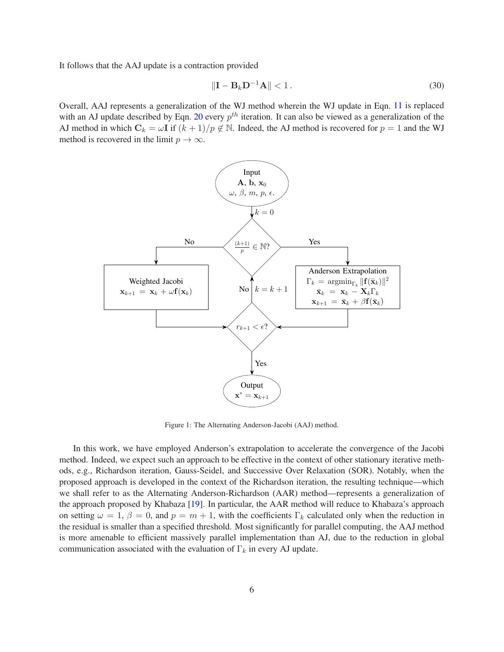It follows that the AAJ update is a contraction provided

$$
\|\mathbf{I} - \mathbf{B}_k \mathbf{D}^{-1} \mathbf{A}\| < 1. \tag{30}
$$

Overall, AAJ represents a generalization of the WJ method wherein the WJ update in Eqn. 11 is replaced with an AJ update described by Eqn. 20 every  $p^{th}$  iteration. It can also be viewed as a generalization of the AJ method in which  $C_k = \omega I$  if  $(k + 1)/p \notin \mathbb{N}$ . Indeed, the AJ method is recovered for  $p = 1$  and the WJ method is recovered in the limit  $p \to \infty$ .



Figure 1: The Alternating Anderson-Jacobi (AAJ) method.

In this work, we have employed Anderson's extrapolation to accelerate the convergence of the Jacobi method. Indeed, we expect such an approach to be effective in the context of other stationary iterative methods, e.g., Richardson iteration, Gauss-Seidel, and Successive Over Relaxation (SOR). Notably, when the proposed approach is developed in the context of the Richardson iteration, the resulting technique—which we shall refer to as the Alternating Anderson-Richardson (AAR) method—represents a generalization of the approach proposed by Khabaza [19]. In particular, the AAR method will reduce to Khabaza's approach on setting  $\omega = 1$ ,  $\beta = 0$ , and  $p = m + 1$ , with the coefficients  $\Gamma_k$  calculated only when the reduction in the residual is smaller than a specified threshold. Most significantly for parallel computing, the AAJ method is more amenable to efficient massively parallel implementation than AJ, due to the reduction in global communication associated with the evaluation of  $\Gamma_k$  in every AJ update.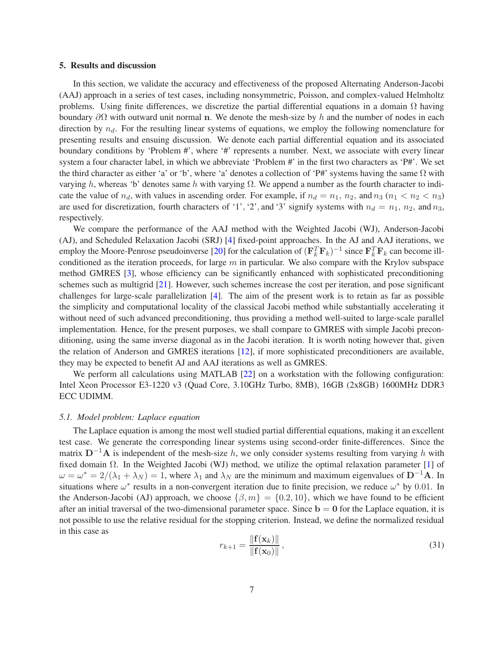#### 5. Results and discussion

In this section, we validate the accuracy and effectiveness of the proposed Alternating Anderson-Jacobi (AAJ) approach in a series of test cases, including nonsymmetric, Poisson, and complex-valued Helmholtz problems. Using finite differences, we discretize the partial differential equations in a domain  $\Omega$  having boundary  $\partial\Omega$  with outward unit normal n. We denote the mesh-size by h and the number of nodes in each direction by  $n_d$ . For the resulting linear systems of equations, we employ the following nomenclature for presenting results and ensuing discussion. We denote each partial differential equation and its associated boundary conditions by 'Problem #', where '#' represents a number. Next, we associate with every linear system a four character label, in which we abbreviate 'Problem #' in the first two characters as 'P#'. We set the third character as either 'a' or 'b', where 'a' denotes a collection of 'P#' systems having the same  $\Omega$  with varying h, whereas 'b' denotes same h with varying Ω. We append a number as the fourth character to indicate the value of  $n_d$ , with values in ascending order. For example, if  $n_d = n_1$ ,  $n_2$ , and  $n_3$  ( $n_1 < n_2 < n_3$ ) are used for discretization, fourth characters of '1', '2', and '3' signify systems with  $n_d = n_1$ ,  $n_2$ , and  $n_3$ , respectively.

We compare the performance of the AAJ method with the Weighted Jacobi (WJ), Anderson-Jacobi (AJ), and Scheduled Relaxation Jacobi (SRJ) [4] fixed-point approaches. In the AJ and AAJ iterations, we employ the Moore-Penrose pseudoinverse [20] for the calculation of  $(\mathbf{F}_k^T \mathbf{F}_k)^{-1}$  since  $\mathbf{F}_k^T \mathbf{F}_k$  can become illconditioned as the iteration proceeds, for large  $m$  in particular. We also compare with the Krylov subspace method GMRES [3], whose efficiency can be significantly enhanced with sophisticated preconditioning schemes such as multigrid [21]. However, such schemes increase the cost per iteration, and pose significant challenges for large-scale parallelization [4]. The aim of the present work is to retain as far as possible the simplicity and computational locality of the classical Jacobi method while substantially accelerating it without need of such advanced preconditioning, thus providing a method well-suited to large-scale parallel implementation. Hence, for the present purposes, we shall compare to GMRES with simple Jacobi preconditioning, using the same inverse diagonal as in the Jacobi iteration. It is worth noting however that, given the relation of Anderson and GMRES iterations [12], if more sophisticated preconditioners are available, they may be expected to benefit AJ and AAJ iterations as well as GMRES.

We perform all calculations using MATLAB [22] on a workstation with the following configuration: Intel Xeon Processor E3-1220 v3 (Quad Core, 3.10GHz Turbo, 8MB), 16GB (2x8GB) 1600MHz DDR3 ECC UDIMM.

#### *5.1. Model problem: Laplace equation*

The Laplace equation is among the most well studied partial differential equations, making it an excellent test case. We generate the corresponding linear systems using second-order finite-differences. Since the matrix  $D^{-1}A$  is independent of the mesh-size h, we only consider systems resulting from varying h with fixed domain Ω. In the Weighted Jacobi (WJ) method, we utilize the optimal relaxation parameter [1] of  $\omega = \omega^* = 2/(\lambda_1 + \lambda_N) = 1$ , where  $\lambda_1$  and  $\lambda_N$  are the minimum and maximum eigenvalues of D<sup>-1</sup>A. In situations where  $\omega^*$  results in a non-convergent iteration due to finite precision, we reduce  $\omega^*$  by 0.01. In the Anderson-Jacobi (AJ) approach, we choose  $\{\beta, m\} = \{0.2, 10\}$ , which we have found to be efficient after an initial traversal of the two-dimensional parameter space. Since  $b = 0$  for the Laplace equation, it is not possible to use the relative residual for the stopping criterion. Instead, we define the normalized residual in this case as

$$
r_{k+1} = \frac{\|\mathbf{f}(\mathbf{x}_k)\|}{\|\mathbf{f}(\mathbf{x}_0)\|},\tag{31}
$$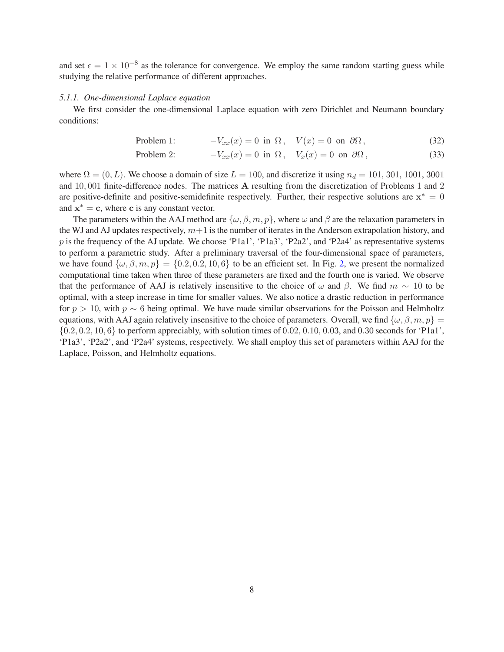and set  $\epsilon = 1 \times 10^{-8}$  as the tolerance for convergence. We employ the same random starting guess while studying the relative performance of different approaches.

#### *5.1.1. One-dimensional Laplace equation*

We first consider the one-dimensional Laplace equation with zero Dirichlet and Neumann boundary conditions:

Problem 1: 
$$
-V_{xx}(x) = 0
$$
 in  $\Omega$ ,  $V(x) = 0$  on  $\partial\Omega$ , (32)

Problem 2: 
$$
-V_{xx}(x) = 0 \text{ in } \Omega, \quad V_x(x) = 0 \text{ on } \partial\Omega,
$$
 (33)

where  $\Omega = (0, L)$ . We choose a domain of size  $L = 100$ , and discretize it using  $n_d = 101, 301, 1001, 3001$ and 10, 001 finite-difference nodes. The matrices A resulting from the discretization of Problems 1 and 2 are positive-definite and positive-semidefinite respectively. Further, their respective solutions are  $x^* = 0$ and  $x^* = c$ , where c is any constant vector.

The parameters within the AAJ method are  $\{\omega, \beta, m, p\}$ , where  $\omega$  and  $\beta$  are the relaxation parameters in the WJ and AJ updates respectively,  $m+1$  is the number of iterates in the Anderson extrapolation history, and p is the frequency of the AJ update. We choose 'P1a1', 'P1a3', 'P2a2', and 'P2a4' as representative systems to perform a parametric study. After a preliminary traversal of the four-dimensional space of parameters, we have found  $\{\omega, \beta, m, p\} = \{0.2, 0.2, 10, 6\}$  to be an efficient set. In Fig. 2, we present the normalized computational time taken when three of these parameters are fixed and the fourth one is varied. We observe that the performance of AAJ is relatively insensitive to the choice of  $\omega$  and  $\beta$ . We find  $m \sim 10$  to be optimal, with a steep increase in time for smaller values. We also notice a drastic reduction in performance for  $p > 10$ , with  $p \sim 6$  being optimal. We have made similar observations for the Poisson and Helmholtz equations, with AAJ again relatively insensitive to the choice of parameters. Overall, we find  $\{\omega, \beta, m, p\}$  =  ${0.2, 0.2, 10, 6}$  to perform appreciably, with solution times of 0.02, 0.10, 0.03, and 0.30 seconds for 'P1a1', 'P1a3', 'P2a2', and 'P2a4' systems, respectively. We shall employ this set of parameters within AAJ for the Laplace, Poisson, and Helmholtz equations.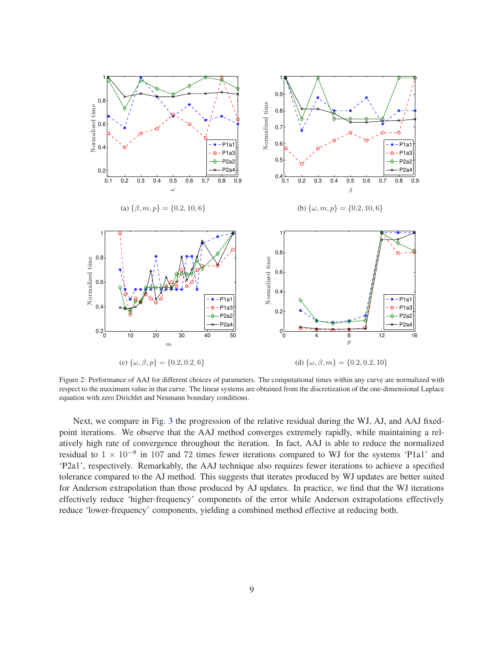

Figure 2: Performance of AAJ for different choices of parameters. The computational times within any curve are normalized with respect to the maximum value in that curve. The linear systems are obtained from the discretization of the one-dimensional Laplace equation with zero Dirichlet and Neumann boundary conditions.

Next, we compare in Fig. 3 the progression of the relative residual during the WJ, AJ, and AAJ fixedpoint iterations. We observe that the AAJ method converges extremely rapidly, while maintaining a relatively high rate of convergence throughout the iteration. In fact, AAJ is able to reduce the normalized residual to  $1 \times 10^{-8}$  in 107 and 72 times fewer iterations compared to WJ for the systems 'P1a1' and 'P2a1', respectively. Remarkably, the AAJ technique also requires fewer iterations to achieve a specified tolerance compared to the AJ method. This suggests that iterates produced by WJ updates are better suited for Anderson extrapolation than those produced by AJ updates. In practice, we find that the WJ iterations effectively reduce 'higher-frequency' components of the error while Anderson extrapolations effectively reduce 'lower-frequency' components, yielding a combined method effective at reducing both.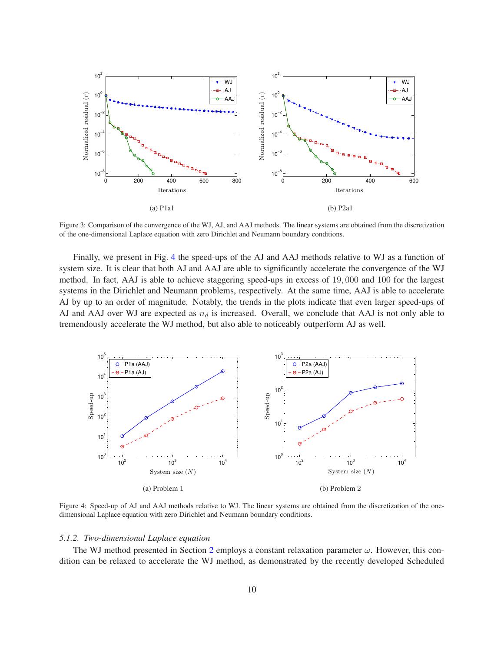

Figure 3: Comparison of the convergence of the WJ, AJ, and AAJ methods. The linear systems are obtained from the discretization of the one-dimensional Laplace equation with zero Dirichlet and Neumann boundary conditions.

Finally, we present in Fig. 4 the speed-ups of the AJ and AAJ methods relative to WJ as a function of system size. It is clear that both AJ and AAJ are able to significantly accelerate the convergence of the WJ method. In fact, AAJ is able to achieve staggering speed-ups in excess of 19, 000 and 100 for the largest systems in the Dirichlet and Neumann problems, respectively. At the same time, AAJ is able to accelerate AJ by up to an order of magnitude. Notably, the trends in the plots indicate that even larger speed-ups of AJ and AAJ over WJ are expected as  $n_d$  is increased. Overall, we conclude that AAJ is not only able to tremendously accelerate the WJ method, but also able to noticeably outperform AJ as well.



Figure 4: Speed-up of AJ and AAJ methods relative to WJ. The linear systems are obtained from the discretization of the onedimensional Laplace equation with zero Dirichlet and Neumann boundary conditions.

#### *5.1.2. Two-dimensional Laplace equation*

The WJ method presented in Section 2 employs a constant relaxation parameter  $\omega$ . However, this condition can be relaxed to accelerate the WJ method, as demonstrated by the recently developed Scheduled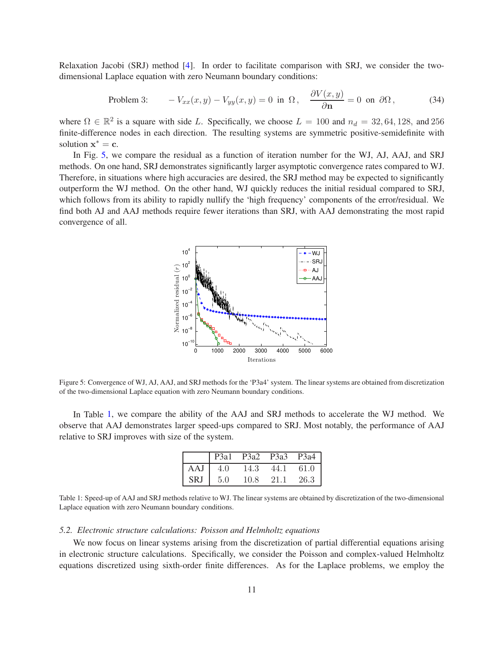Relaxation Jacobi (SRJ) method [4]. In order to facilitate comparison with SRJ, we consider the twodimensional Laplace equation with zero Neumann boundary conditions:

Problem 3: 
$$
-V_{xx}(x,y) - V_{yy}(x,y) = 0 \text{ in } \Omega, \quad \frac{\partial V(x,y)}{\partial \mathbf{n}} = 0 \text{ on } \partial \Omega,
$$
 (34)

where  $\Omega \in \mathbb{R}^2$  is a square with side L. Specifically, we choose  $L = 100$  and  $n_d = 32, 64, 128,$  and 256 finite-difference nodes in each direction. The resulting systems are symmetric positive-semidefinite with solution  $x^* = c$ .

In Fig. 5, we compare the residual as a function of iteration number for the WJ, AJ, AAJ, and SRJ methods. On one hand, SRJ demonstrates significantly larger asymptotic convergence rates compared to WJ. Therefore, in situations where high accuracies are desired, the SRJ method may be expected to significantly outperform the WJ method. On the other hand, WJ quickly reduces the initial residual compared to SRJ, which follows from its ability to rapidly nullify the 'high frequency' components of the error/residual. We find both AJ and AAJ methods require fewer iterations than SRJ, with AAJ demonstrating the most rapid convergence of all.



Figure 5: Convergence of WJ, AJ, AAJ, and SRJ methods for the 'P3a4' system. The linear systems are obtained from discretization of the two-dimensional Laplace equation with zero Neumann boundary conditions.

In Table 1, we compare the ability of the AAJ and SRJ methods to accelerate the WJ method. We observe that AAJ demonstrates larger speed-ups compared to SRJ. Most notably, the performance of AAJ relative to SRJ improves with size of the system.

|            | P <sub>3</sub> a <sub>1</sub> | P3a2 | P3a3 | P3a4 |
|------------|-------------------------------|------|------|------|
| AAJ        | 4.0                           | 14.3 | 44.1 | 61.0 |
| <b>SRJ</b> | 5.0                           | 10.8 | 21.1 | 26.3 |

Table 1: Speed-up of AAJ and SRJ methods relative to WJ. The linear systems are obtained by discretization of the two-dimensional Laplace equation with zero Neumann boundary conditions.

## *5.2. Electronic structure calculations: Poisson and Helmholtz equations*

We now focus on linear systems arising from the discretization of partial differential equations arising in electronic structure calculations. Specifically, we consider the Poisson and complex-valued Helmholtz equations discretized using sixth-order finite differences. As for the Laplace problems, we employ the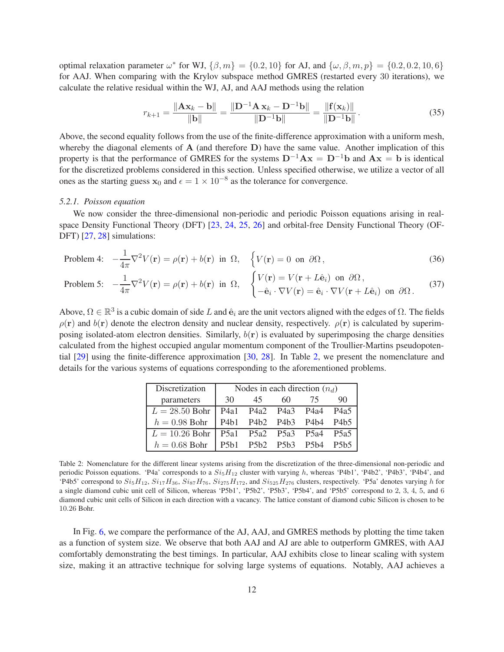optimal relaxation parameter  $\omega^*$  for WJ,  $\{\beta,m\} = \{0.2, 10\}$  for AJ, and  $\{\omega, \beta, m, p\} = \{0.2, 0.2, 10, 6\}$ for AAJ. When comparing with the Krylov subspace method GMRES (restarted every 30 iterations), we calculate the relative residual within the WJ, AJ, and AAJ methods using the relation

$$
r_{k+1} = \frac{\|\mathbf{A}\mathbf{x}_k - \mathbf{b}\|}{\|\mathbf{b}\|} = \frac{\|\mathbf{D}^{-1}\mathbf{A}\mathbf{x}_k - \mathbf{D}^{-1}\mathbf{b}\|}{\|\mathbf{D}^{-1}\mathbf{b}\|} = \frac{\|\mathbf{f}(\mathbf{x}_k)\|}{\|\mathbf{D}^{-1}\mathbf{b}\|}.
$$
 (35)

Above, the second equality follows from the use of the finite-difference approximation with a uniform mesh, whereby the diagonal elements of A (and therefore D) have the same value. Another implication of this property is that the performance of GMRES for the systems  $D^{-1}Ax = D^{-1}b$  and  $Ax = b$  is identical for the discretized problems considered in this section. Unless specified otherwise, we utilize a vector of all ones as the starting guess  $x_0$  and  $\epsilon = 1 \times 10^{-8}$  as the tolerance for convergence.

## *5.2.1. Poisson equation*

We now consider the three-dimensional non-periodic and periodic Poisson equations arising in realspace Density Functional Theory (DFT) [23, 24, 25, 26] and orbital-free Density Functional Theory (OF-DFT) [27, 28] simulations:

Problem 4: 
$$
-\frac{1}{4\pi}\nabla^2 V(\mathbf{r}) = \rho(\mathbf{r}) + b(\mathbf{r})
$$
 in  $\Omega$ ,  $\{V(\mathbf{r}) = 0 \text{ on } \partial\Omega,$  (36)

Problem 5: 
$$
-\frac{1}{4\pi}\nabla^2 V(\mathbf{r}) = \rho(\mathbf{r}) + b(\mathbf{r}) \text{ in } \Omega, \quad \begin{cases} V(\mathbf{r}) = V(\mathbf{r} + L\hat{\mathbf{e}}_i) \text{ on } \partial\Omega, \\ -\hat{\mathbf{e}}_i \cdot \nabla V(\mathbf{r}) = \hat{\mathbf{e}}_i \cdot \nabla V(\mathbf{r} + L\hat{\mathbf{e}}_i) \text{ on } \partial\Omega. \end{cases}
$$
(37)

Above,  $\Omega \in \mathbb{R}^3$  is a cubic domain of side L and  $\hat{\mathbf{e}}_i$  are the unit vectors aligned with the edges of  $\Omega$ . The fields  $\rho(\mathbf{r})$  and  $b(\mathbf{r})$  denote the electron density and nuclear density, respectively.  $\rho(\mathbf{r})$  is calculated by superimposing isolated-atom electron densities. Similarly,  $b(r)$  is evaluated by superimposing the charge densities calculated from the highest occupied angular momentum component of the Troullier-Martins pseudopotential [29] using the finite-difference approximation [30, 28]. In Table 2, we present the nomenclature and details for the various systems of equations corresponding to the aforementioned problems.

| Discretization                              |    |                          |    | Nodes in each direction $(n_d)$ |    |  |
|---------------------------------------------|----|--------------------------|----|---------------------------------|----|--|
| parameters                                  | 30 | 45                       | 60 | 75                              | 90 |  |
| $L = 28.50$ Bohr   P4a1 P4a2 P4a3 P4a4 P4a5 |    |                          |    |                                 |    |  |
| $h = 0.98$ Bohr                             |    | P4b1 P4b2 P4b3 P4b4 P4b5 |    |                                 |    |  |
| $L = 10.26$ Bohr   P5a1 P5a2 P5a3 P5a4 P5a5 |    |                          |    |                                 |    |  |
| $h = 0.68$ Bohr                             |    | P5b1 P5b2 P5b3 P5b4 P5b5 |    |                                 |    |  |

Table 2: Nomenclature for the different linear systems arising from the discretization of the three-dimensional non-periodic and periodic Poisson equations. 'P4a' corresponds to a  $Si<sub>5</sub>H<sub>12</sub>$  cluster with varying h, whereas 'P4b1', 'P4b2', 'P4b3', 'P4b4', and 'P4b5' correspond to  $Si_5H_{12}$ ,  $Si_{17}H_{36}$ ,  $Si_{87}H_{76}$ ,  $Si_{275}H_{172}$ , and  $Si_{525}H_{276}$  clusters, respectively. 'P5a' denotes varying h for a single diamond cubic unit cell of Silicon, whereas 'P5b1', 'P5b2', 'P5b3', 'P5b4', and 'P5b5' correspond to 2, 3, 4, 5, and 6 diamond cubic unit cells of Silicon in each direction with a vacancy. The lattice constant of diamond cubic Silicon is chosen to be 10.26 Bohr.

In Fig. 6, we compare the performance of the AJ, AAJ, and GMRES methods by plotting the time taken as a function of system size. We observe that both AAJ and AJ are able to outperform GMRES, with AAJ comfortably demonstrating the best timings. In particular, AAJ exhibits close to linear scaling with system size, making it an attractive technique for solving large systems of equations. Notably, AAJ achieves a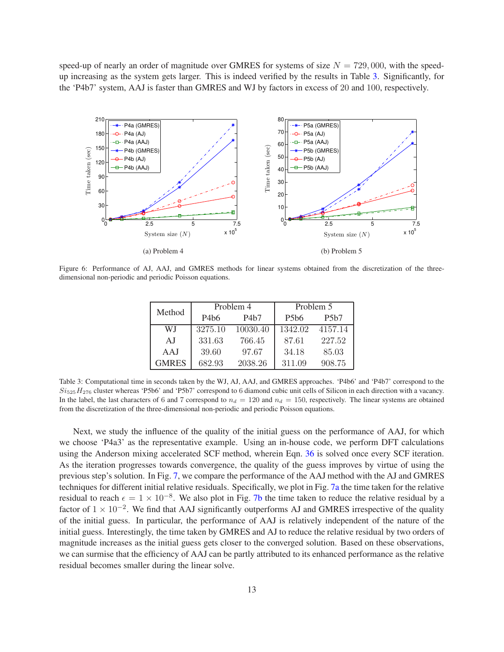speed-up of nearly an order of magnitude over GMRES for systems of size  $N = 729,000$ , with the speedup increasing as the system gets larger. This is indeed verified by the results in Table 3. Significantly, for the 'P4b7' system, AAJ is faster than GMRES and WJ by factors in excess of 20 and 100, respectively.



Figure 6: Performance of AJ, AAJ, and GMRES methods for linear systems obtained from the discretization of the threedimensional non-periodic and periodic Poisson equations.

| Method       |         | Problem 4 | Problem 5                     |         |  |
|--------------|---------|-----------|-------------------------------|---------|--|
|              | P4b6    | P4b7      | P <sub>5</sub> b <sub>6</sub> | P5b7    |  |
| WJ           | 3275.10 | 10030.40  | 1342.02                       | 4157.14 |  |
| A.I          | 331.63  | 766.45    | 87.61                         | 227.52  |  |
| AAJ          | 39.60   | 97.67     | 34.18                         | 85.03   |  |
| <b>GMRES</b> | 682.93  | 2038.26   | 311.09                        | 908.75  |  |

Table 3: Computational time in seconds taken by the WJ, AJ, AAJ, and GMRES approaches. 'P4b6' and 'P4b7' correspond to the  $Si<sub>525</sub>H<sub>276</sub>$  cluster whereas 'P5b6' and 'P5b7' correspond to 6 diamond cubic unit cells of Silicon in each direction with a vacancy. In the label, the last characters of 6 and 7 correspond to  $n_d = 120$  and  $n_d = 150$ , respectively. The linear systems are obtained from the discretization of the three-dimensional non-periodic and periodic Poisson equations.

Next, we study the influence of the quality of the initial guess on the performance of AAJ, for which we choose 'P4a3' as the representative example. Using an in-house code, we perform DFT calculations using the Anderson mixing accelerated SCF method, wherein Eqn. 36 is solved once every SCF iteration. As the iteration progresses towards convergence, the quality of the guess improves by virtue of using the previous step's solution. In Fig. 7, we compare the performance of the AAJ method with the AJ and GMRES techniques for different initial relative residuals. Specifically, we plot in Fig. 7a the time taken for the relative residual to reach  $\epsilon = 1 \times 10^{-8}$ . We also plot in Fig. 7b the time taken to reduce the relative residual by a factor of  $1 \times 10^{-2}$ . We find that AAJ significantly outperforms AJ and GMRES irrespective of the quality of the initial guess. In particular, the performance of AAJ is relatively independent of the nature of the initial guess. Interestingly, the time taken by GMRES and AJ to reduce the relative residual by two orders of magnitude increases as the initial guess gets closer to the converged solution. Based on these observations, we can surmise that the efficiency of AAJ can be partly attributed to its enhanced performance as the relative residual becomes smaller during the linear solve.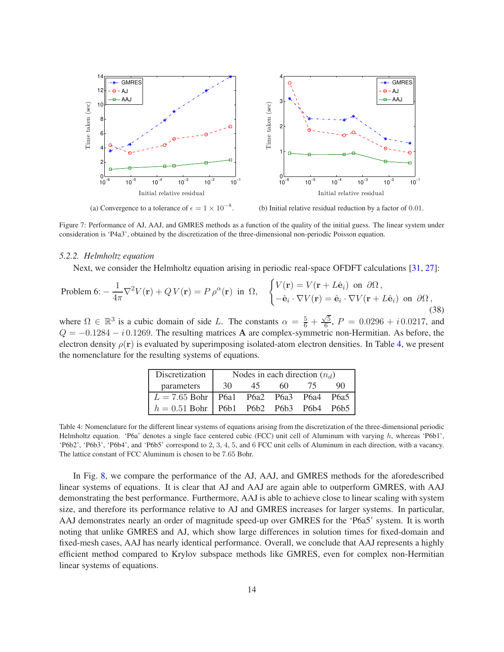

(a) Convergence to a tolerance of  $\epsilon = 1 \times 10^{-8}$ .

(b) Initial relative residual reduction by a factor of 0.01.

Figure 7: Performance of AJ, AAJ, and GMRES methods as a function of the quality of the initial guess. The linear system under consideration is 'P4a3', obtained by the discretization of the three-dimensional non-periodic Poisson equation.

#### *5.2.2. Helmholtz equation*

Next, we consider the Helmholtz equation arising in periodic real-space OFDFT calculations [31, 27]:

Problem 6: 
$$
-\frac{1}{4\pi}\nabla^2 V(\mathbf{r}) + QV(\mathbf{r}) = P \rho^{\alpha}(\mathbf{r})
$$
 in  $\Omega$ , 
$$
\begin{cases} V(\mathbf{r}) = V(\mathbf{r} + L\hat{\mathbf{e}}_i) \text{ on } \partial\Omega, \\ -\hat{\mathbf{e}}_i \cdot \nabla V(\mathbf{r}) = \hat{\mathbf{e}}_i \cdot \nabla V(\mathbf{r} + L\hat{\mathbf{e}}_i) \text{ on } \partial\Omega, \end{cases}
$$
(38)

where  $\Omega \in \mathbb{R}^3$  is a cubic domain of side L. The constants  $\alpha = \frac{5}{6} + \frac{\sqrt{5}}{6}$  $\frac{\pi}{6}$ ,  $P = 0.0296 + i \cdot 0.0217$ , and  $Q = -0.1284 - i 0.1269$ . The resulting matrices **A** are complex-symmetric non-Hermitian. As before, the electron density  $\rho(\mathbf{r})$  is evaluated by superimposing isolated-atom electron densities. In Table 4, we present the nomenclature for the resulting systems of equations.

| Discretization                             | Nodes in each direction $(n_d)$ |    |     |     |    |
|--------------------------------------------|---------------------------------|----|-----|-----|----|
| parameters                                 | 30                              | 45 | 60. | 75. | 90 |
| $L = 7.65$ Bohr   P6a1 P6a2 P6a3 P6a4 P6a5 |                                 |    |     |     |    |
| $h = 0.51$ Bohr   P6b1 P6b2 P6b3 P6b4 P6b5 |                                 |    |     |     |    |

Table 4: Nomenclature for the different linear systems of equations arising from the discretization of the three-dimensional periodic Helmholtz equation. 'P6a' denotes a single face centered cubic (FCC) unit cell of Aluminum with varying  $h$ , whereas 'P6b1', 'P6b2', 'P6b3', 'P6b4', and 'P6b5' correspond to 2, 3, 4, 5, and 6 FCC unit cells of Aluminum in each direction, with a vacancy. The lattice constant of FCC Aluminum is chosen to be 7.65 Bohr.

In Fig. 8, we compare the performance of the AJ, AAJ, and GMRES methods for the aforedescribed linear systems of equations. It is clear that AJ and AAJ are again able to outperform GMRES, with AAJ demonstrating the best performance. Furthermore, AAJ is able to achieve close to linear scaling with system size, and therefore its performance relative to AJ and GMRES increases for larger systems. In particular, AAJ demonstrates nearly an order of magnitude speed-up over GMRES for the 'P6a5' system. It is worth noting that unlike GMRES and AJ, which show large differences in solution times for fixed-domain and fixed-mesh cases, AAJ has nearly identical performance. Overall, we conclude that AAJ represents a highly efficient method compared to Krylov subspace methods like GMRES, even for complex non-Hermitian linear systems of equations.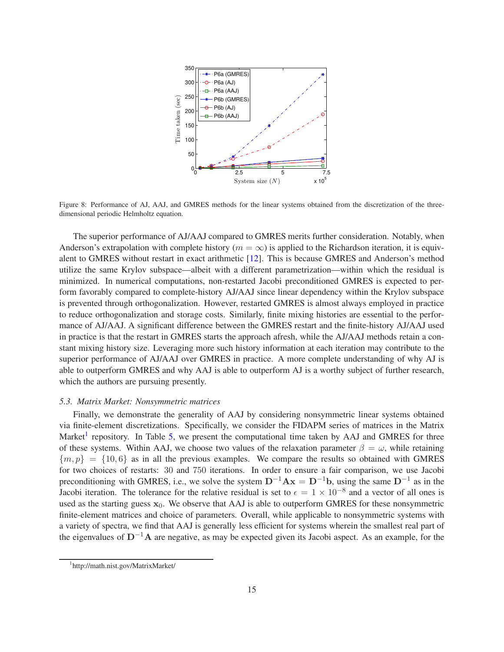

Figure 8: Performance of AJ, AAJ, and GMRES methods for the linear systems obtained from the discretization of the threedimensional periodic Helmholtz equation.

The superior performance of AJ/AAJ compared to GMRES merits further consideration. Notably, when Anderson's extrapolation with complete history ( $m = \infty$ ) is applied to the Richardson iteration, it is equivalent to GMRES without restart in exact arithmetic [12]. This is because GMRES and Anderson's method utilize the same Krylov subspace—albeit with a different parametrization—within which the residual is minimized. In numerical computations, non-restarted Jacobi preconditioned GMRES is expected to perform favorably compared to complete-history AJ/AAJ since linear dependency within the Krylov subspace is prevented through orthogonalization. However, restarted GMRES is almost always employed in practice to reduce orthogonalization and storage costs. Similarly, finite mixing histories are essential to the performance of AJ/AAJ. A significant difference between the GMRES restart and the finite-history AJ/AAJ used in practice is that the restart in GMRES starts the approach afresh, while the AJ/AAJ methods retain a constant mixing history size. Leveraging more such history information at each iteration may contribute to the superior performance of AJ/AAJ over GMRES in practice. A more complete understanding of why AJ is able to outperform GMRES and why AAJ is able to outperform AJ is a worthy subject of further research, which the authors are pursuing presently.

## *5.3. Matrix Market: Nonsymmetric matrices*

Finally, we demonstrate the generality of AAJ by considering nonsymmetric linear systems obtained via finite-element discretizations. Specifically, we consider the FIDAPM series of matrices in the Matrix Market<sup>1</sup> repository. In Table 5, we present the computational time taken by AAJ and GMRES for three of these systems. Within AAJ, we choose two values of the relaxation parameter  $\beta = \omega$ , while retaining  ${m, p} = {10, 6}$  as in all the previous examples. We compare the results so obtained with GMRES for two choices of restarts: 30 and 750 iterations. In order to ensure a fair comparison, we use Jacobi preconditioning with GMRES, i.e., we solve the system  $D^{-1}Ax = D^{-1}b$ , using the same  $D^{-1}$  as in the Jacobi iteration. The tolerance for the relative residual is set to  $\epsilon = 1 \times 10^{-8}$  and a vector of all ones is used as the starting guess  $x_0$ . We observe that AAJ is able to outperform GMRES for these nonsymmetric finite-element matrices and choice of parameters. Overall, while applicable to nonsymmetric systems with a variety of spectra, we find that AAJ is generally less efficient for systems wherein the smallest real part of the eigenvalues of D−1A are negative, as may be expected given its Jacobi aspect. As an example, for the

<sup>1</sup> http://math.nist.gov/MatrixMarket/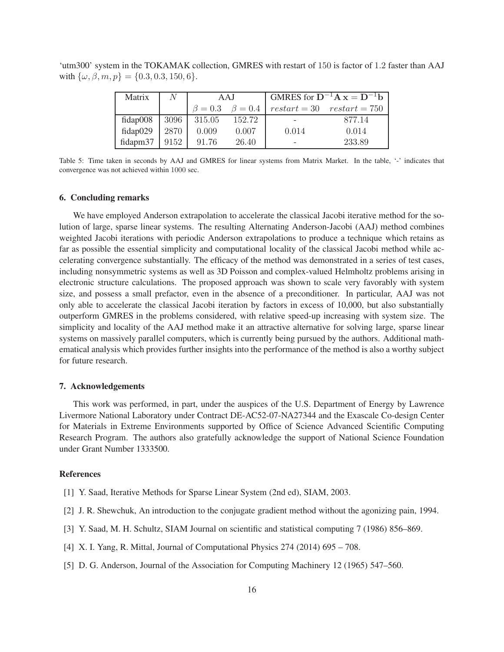'utm300' system in the TOKAMAK collection, GMRES with restart of 150 is factor of 1.2 faster than AAJ with  $\{\omega, \beta, m, p\} = \{0.3, 0.3, 150, 6\}.$ 

| Matrix   | /V   | AAJ           |               | GMRES for $D^{-1}A x = D^{-1}b$    |        |  |
|----------|------|---------------|---------------|------------------------------------|--------|--|
|          |      | $\beta = 0.3$ | $\beta = 0.4$ | $restart = 30 \quad restart = 750$ |        |  |
| fidap008 | 3096 | 315.05        | 152.72        |                                    | 877.14 |  |
| fidap029 | 2870 | 0.009         | 0.007         | 0.014                              | 0.014  |  |
| fidapm37 | 9152 | 91.76         | 26.40         | -                                  | 233.89 |  |

Table 5: Time taken in seconds by AAJ and GMRES for linear systems from Matrix Market. In the table, '-' indicates that convergence was not achieved within 1000 sec.

#### 6. Concluding remarks

We have employed Anderson extrapolation to accelerate the classical Jacobi iterative method for the solution of large, sparse linear systems. The resulting Alternating Anderson-Jacobi (AAJ) method combines weighted Jacobi iterations with periodic Anderson extrapolations to produce a technique which retains as far as possible the essential simplicity and computational locality of the classical Jacobi method while accelerating convergence substantially. The efficacy of the method was demonstrated in a series of test cases, including nonsymmetric systems as well as 3D Poisson and complex-valued Helmholtz problems arising in electronic structure calculations. The proposed approach was shown to scale very favorably with system size, and possess a small prefactor, even in the absence of a preconditioner. In particular, AAJ was not only able to accelerate the classical Jacobi iteration by factors in excess of 10,000, but also substantially outperform GMRES in the problems considered, with relative speed-up increasing with system size. The simplicity and locality of the AAJ method make it an attractive alternative for solving large, sparse linear systems on massively parallel computers, which is currently being pursued by the authors. Additional mathematical analysis which provides further insights into the performance of the method is also a worthy subject for future research.

## 7. Acknowledgements

This work was performed, in part, under the auspices of the U.S. Department of Energy by Lawrence Livermore National Laboratory under Contract DE-AC52-07-NA27344 and the Exascale Co-design Center for Materials in Extreme Environments supported by Office of Science Advanced Scientific Computing Research Program. The authors also gratefully acknowledge the support of National Science Foundation under Grant Number 1333500.

## References

- [1] Y. Saad, Iterative Methods for Sparse Linear System (2nd ed), SIAM, 2003.
- [2] J. R. Shewchuk, An introduction to the conjugate gradient method without the agonizing pain, 1994.
- [3] Y. Saad, M. H. Schultz, SIAM Journal on scientific and statistical computing 7 (1986) 856–869.
- [4] X. I. Yang, R. Mittal, Journal of Computational Physics 274 (2014) 695 708.
- [5] D. G. Anderson, Journal of the Association for Computing Machinery 12 (1965) 547–560.